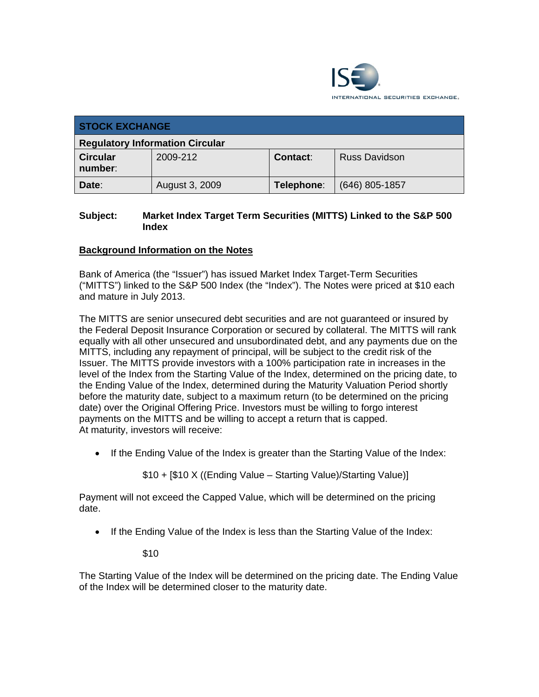

| <b>STOCK EXCHANGE</b>                  |                |            |                  |  |
|----------------------------------------|----------------|------------|------------------|--|
| <b>Regulatory Information Circular</b> |                |            |                  |  |
| <b>Circular</b><br>number:             | 2009-212       | Contact:   | Russ Davidson    |  |
| Date:                                  | August 3, 2009 | Telephone: | $(646)$ 805-1857 |  |

# **Subject: Market Index Target Term Securities (MITTS) Linked to the S&P 500 Index**

# **Background Information on the Notes**

Bank of America (the "Issuer") has issued Market Index Target-Term Securities ("MITTS") linked to the S&P 500 Index (the "Index"). The Notes were priced at \$10 each and mature in July 2013.

The MITTS are senior unsecured debt securities and are not guaranteed or insured by the Federal Deposit Insurance Corporation or secured by collateral. The MITTS will rank equally with all other unsecured and unsubordinated debt, and any payments due on the MITTS, including any repayment of principal, will be subject to the credit risk of the Issuer. The MITTS provide investors with a 100% participation rate in increases in the level of the Index from the Starting Value of the Index, determined on the pricing date, to the Ending Value of the Index, determined during the Maturity Valuation Period shortly before the maturity date, subject to a maximum return (to be determined on the pricing date) over the Original Offering Price. Investors must be willing to forgo interest payments on the MITTS and be willing to accept a return that is capped. At maturity, investors will receive:

• If the Ending Value of the Index is greater than the Starting Value of the Index:

\$10 + [\$10 X ((Ending Value – Starting Value)/Starting Value)]

Payment will not exceed the Capped Value, which will be determined on the pricing date.

• If the Ending Value of the Index is less than the Starting Value of the Index:

\$10

The Starting Value of the Index will be determined on the pricing date. The Ending Value of the Index will be determined closer to the maturity date.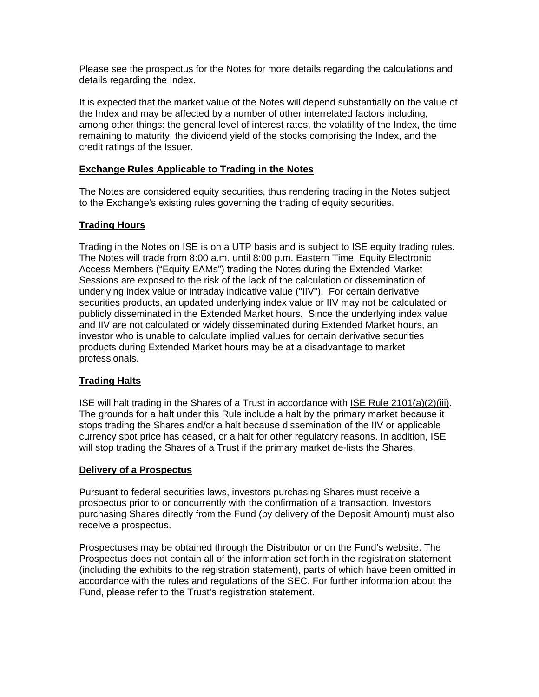Please see the prospectus for the Notes for more details regarding the calculations and details regarding the Index.

It is expected that the market value of the Notes will depend substantially on the value of the Index and may be affected by a number of other interrelated factors including, among other things: the general level of interest rates, the volatility of the Index, the time remaining to maturity, the dividend yield of the stocks comprising the Index, and the credit ratings of the Issuer.

## **Exchange Rules Applicable to Trading in the Notes**

The Notes are considered equity securities, thus rendering trading in the Notes subject to the Exchange's existing rules governing the trading of equity securities.

#### **Trading Hours**

Trading in the Notes on ISE is on a UTP basis and is subject to ISE equity trading rules. The Notes will trade from 8:00 a.m. until 8:00 p.m. Eastern Time. Equity Electronic Access Members ("Equity EAMs") trading the Notes during the Extended Market Sessions are exposed to the risk of the lack of the calculation or dissemination of underlying index value or intraday indicative value ("IIV"). For certain derivative securities products, an updated underlying index value or IIV may not be calculated or publicly disseminated in the Extended Market hours. Since the underlying index value and IIV are not calculated or widely disseminated during Extended Market hours, an investor who is unable to calculate implied values for certain derivative securities products during Extended Market hours may be at a disadvantage to market professionals.

## **Trading Halts**

ISE will halt trading in the Shares of a Trust in accordance with ISE Rule 2101(a)(2)(iii). The grounds for a halt under this Rule include a halt by the primary market because it stops trading the Shares and/or a halt because dissemination of the IIV or applicable currency spot price has ceased, or a halt for other regulatory reasons. In addition, ISE will stop trading the Shares of a Trust if the primary market de-lists the Shares.

#### **Delivery of a Prospectus**

Pursuant to federal securities laws, investors purchasing Shares must receive a prospectus prior to or concurrently with the confirmation of a transaction. Investors purchasing Shares directly from the Fund (by delivery of the Deposit Amount) must also receive a prospectus.

Prospectuses may be obtained through the Distributor or on the Fund's website. The Prospectus does not contain all of the information set forth in the registration statement (including the exhibits to the registration statement), parts of which have been omitted in accordance with the rules and regulations of the SEC. For further information about the Fund, please refer to the Trust's registration statement.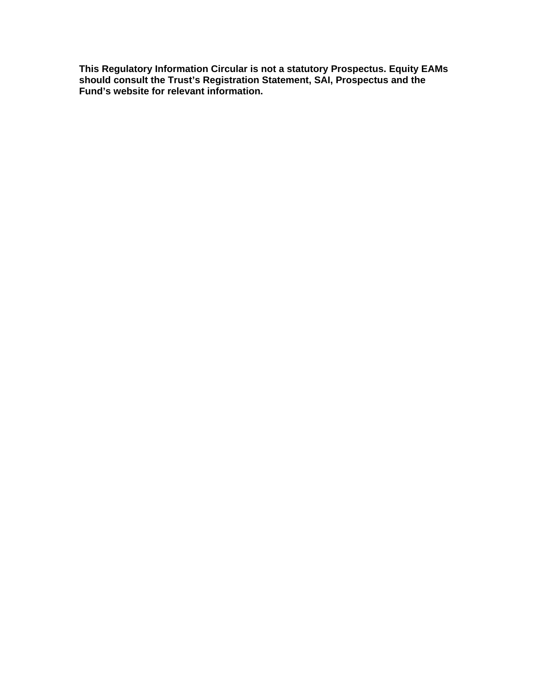**This Regulatory Information Circular is not a statutory Prospectus. Equity EAMs should consult the Trust's Registration Statement, SAI, Prospectus and the Fund's website for relevant information.**